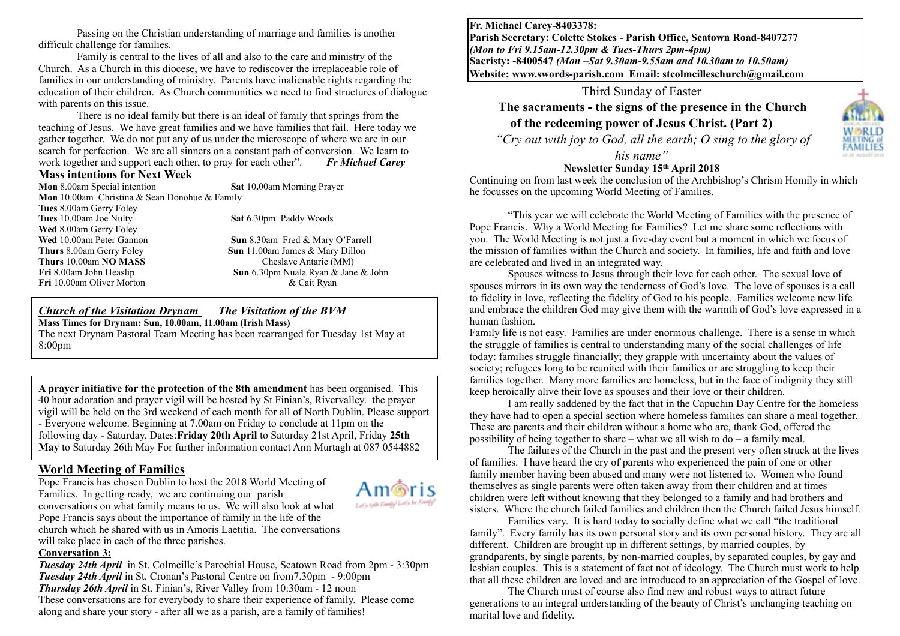Passing on the Christian understanding of marriage and families is another difficult challenge for families.

Family is central to the lives of all and also to the care and ministry of the Church. As a Church in this diocese, we have to rediscover the irreplaceable role of families in our understanding of ministry. Parents have inalienable rights regarding the education of their children. As Church communities we need to find structures of dialogue with parents on this issue.

There is no ideal family but there is an ideal of family that springs from the teaching of Jesus. We have great families and we have families that fail. Here today we gather together. We do not put any of us under the microscope of where we are in our search for perfection. We are all sinners on a constant path of conversion. We learn to work together and support each other, to pray for each other". *Fr Michael Carey*

#### **Mass intentions for Next Week**

**Mon** 8.00am Special intention **Sat** 10**.**00am Morning Prayer **Mon** 10.00am Christina & Sean Donohue & Family **Tues** 8.00am Gerry Foley **Tues** 10.00am Joe Nulty **Sat 6.30pm Paddy Woods Wed** 8.00am Gerry Foley **Wed** 10.00am Peter Gannon **Sun** 8.30am Fred & Mary O'Farrell **Thurs** 8.00am Gerry Foley **Sun** 11.00am James & Mary Dillon **Thurs** 10.00am **NO MASS** Cheslave Antarie (MM) **Fri** 8.00am John Heaslip **Sun** 6.30pm Nuala Ryan & Jane & John **Fri** 10.00am Oliver Morton & Caít Ryan

#### *Church of the Visitation Drynam**The Visitation of the BVM* **Mass Times for Drynam: Sun, 10.00am, 11.00am (Irish Mass)**

The next Drynam Pastoral Team Meeting has been rearranged for Tuesday 1st May at 8:00pm

**A prayer initiative for the protection of the 8th amendment** has been organised. This 40 hour adoration and prayer vigil will be hosted by St Finian's, Rivervalley. the prayer vigil will be held on the 3rd weekend of each month for all of North Dublin. Please support - Everyone welcome. Beginning at 7.00am on Friday to conclude at 11pm on the following day - Saturday. Dates:**Friday 20th April** to Saturday 21st April, Friday **25th May** to Saturday 26th May For further information contact Ann Murtagh at 087 0544882

# **World Meeting of Families**

Pope Francis has chosen Dublin to host the 2018 World Meeting of Families. In getting ready, we are continuing our parish conversations on what family means to us. We will also look at what Pope Francis says about the importance of family in the life of the church which he shared with us in Amoris Laetitia. The conversations will take place in each of the three parishes.



#### **Conversation 3:**

*Tuesday 24th April* in St. Colmcille's Parochial House, Seatown Road from 2pm - 3:30pm *Tuesday 24th April* in St. Cronan's Pastoral Centre on from7.30pm - 9:00pm *Thursday 26th April* in St. Finian's, River Valley from 10:30am - 12 noon These conversations are for everybody to share their experience of family. Please come along and share your story - after all we as a parish, are a family of families!

**Fr. Michael Carey-8403378: Parish Secretary: Colette Stokes - Parish Office, Seatown Road-8407277**  *(Mon to Fri 9.15am-12.30pm & Tues-Thurs 2pm-4pm)*  **Sacristy: -8400547** *(Mon –Sat 9.30am-9.55am and 10.30am to 10.50am)* **Website: [www.swords-parish.com Email:](http://www.swords-parish.com%20%20email) stcolmcilleschurch@gmail.com**

Third Sunday of Easter

# **The sacraments - the signs of the presence in the Church of the redeeming power of Jesus Christ. (Part 2)**

*"Cry out with joy to God, all the earth; O sing to the glory of* 

*his name"* 

### **Newsletter Sunday 15th April 2018**

Continuing on from last week the conclusion of the Archbishop's Chrism Homily in which he focusses on the upcoming World Meeting of Families.

"This year we will celebrate the World Meeting of Families with the presence of Pope Francis. Why a World Meeting for Families? Let me share some reflections with you. The World Meeting is not just a five-day event but a moment in which we focus of the mission of families within the Church and society. In families, life and faith and love are celebrated and lived in an integrated way.

Spouses witness to Jesus through their love for each other. The sexual love of spouses mirrors in its own way the tenderness of God's love. The love of spouses is a call to fidelity in love, reflecting the fidelity of God to his people. Families welcome new life and embrace the children God may give them with the warmth of God's love expressed in a human fashion.

Family life is not easy. Families are under enormous challenge. There is a sense in which the struggle of families is central to understanding many of the social challenges of life today: families struggle financially; they grapple with uncertainty about the values of society; refugees long to be reunited with their families or are struggling to keep their families together. Many more families are homeless, but in the face of indignity they still keep heroically alive their love as spouses and their love or their children.

I am really saddened by the fact that in the Capuchin Day Centre for the homeless they have had to open a special section where homeless families can share a meal together. These are parents and their children without a home who are, thank God, offered the possibility of being together to share – what we all wish to do – a family meal.

The failures of the Church in the past and the present very often struck at the lives of families. I have heard the cry of parents who experienced the pain of one or other family member having been abused and many were not listened to. Women who found themselves as single parents were often taken away from their children and at times children were left without knowing that they belonged to a family and had brothers and sisters. Where the church failed families and children then the Church failed Jesus himself.

Families vary. It is hard today to socially define what we call "the traditional family". Every family has its own personal story and its own personal history. They are all different. Children are brought up in different settings, by married couples, by grandparents, by single parents, by non-married couples, by separated couples, by gay and lesbian couples. This is a statement of fact not of ideology. The Church must work to help that all these children are loved and are introduced to an appreciation of the Gospel of love.

The Church must of course also find new and robust ways to attract future generations to an integral understanding of the beauty of Christ's unchanging teaching on marital love and fidelity.